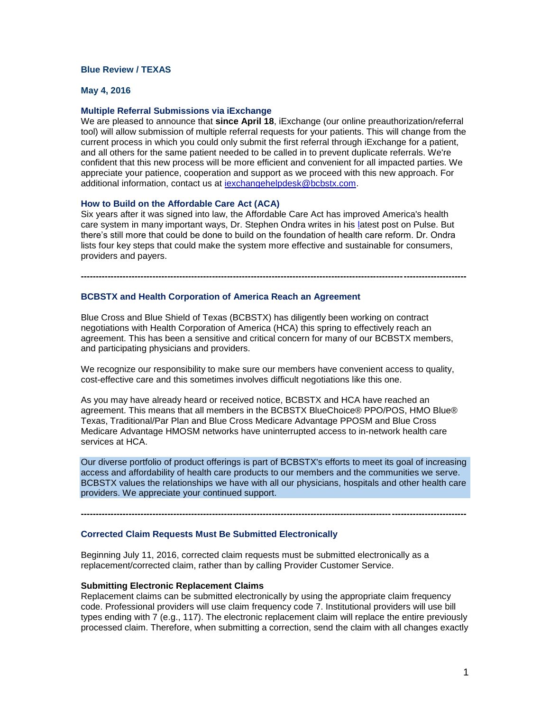# **Blue Review / TEXAS**

#### **May 4, 2016**

#### **Multiple Referral Submissions via iExchange**

We are pleased to announce that **since April 18**, iExchange (our online preauthorization/referral tool) will allow submission of multiple referral requests for your patients. This will change from the current process in which you could only submit the first referral through iExchange for a patient, and all others for the same patient needed to be called in to prevent duplicate referrals. We're confident that this new process will be more efficient and convenient for all impacted parties. We appreciate your patience, cooperation and support as we proceed with this new approach. For additional information, contact us at [iexchangehelpdesk@bcbstx.com.](mailto:iexchangehelpdesk@bcbstx.com)

#### **How to Build on the Affordable Care Act (ACA)**

Six years after it was signed into law, the Affordable Care Act has improved America's health care system in many important ways, Dr. Stephen Ondra writes in his latest post on Pulse. But there's still more that could be done to build on the foundation of health care reform. Dr. Ondra lists four key steps that could make the system more effective and sustainable for consumers, providers and payers.

**---------------------------------------------------------------------------------------------------------------------------------**

## **BCBSTX and Health Corporation of America Reach an Agreement**

Blue Cross and Blue Shield of Texas (BCBSTX) has diligently been working on contract negotiations with Health Corporation of America (HCA) this spring to effectively reach an agreement. This has been a sensitive and critical concern for many of our BCBSTX members, and participating physicians and providers.

We recognize our responsibility to make sure our members have convenient access to quality, cost-effective care and this sometimes involves difficult negotiations like this one.

As you may have already heard or received notice, BCBSTX and HCA have reached an agreement. This means that all members in the BCBSTX BlueChoice® PPO/POS, HMO Blue® Texas, Traditional/Par Plan and Blue Cross Medicare Advantage PPOSM and Blue Cross Medicare Advantage HMOSM networks have uninterrupted access to in-network health care services at HCA.

Our diverse portfolio of product offerings is part of BCBSTX's efforts to meet its goal of increasing access and affordability of health care products to our members and the communities we serve. BCBSTX values the relationships we have with all our physicians, hospitals and other health care providers. We appreciate your continued support.

**---------------------------------------------------------------------------------------------------------------------------------**

#### **Corrected Claim Requests Must Be Submitted Electronically**

Beginning July 11, 2016, corrected claim requests must be submitted electronically as a replacement/corrected claim, rather than by calling Provider Customer Service.

#### **Submitting Electronic Replacement Claims**

Replacement claims can be submitted electronically by using the appropriate claim frequency code. Professional providers will use claim frequency code 7. Institutional providers will use bill types ending with 7 (e.g., 117). The electronic replacement claim will replace the entire previously processed claim. Therefore, when submitting a correction, send the claim with all changes exactly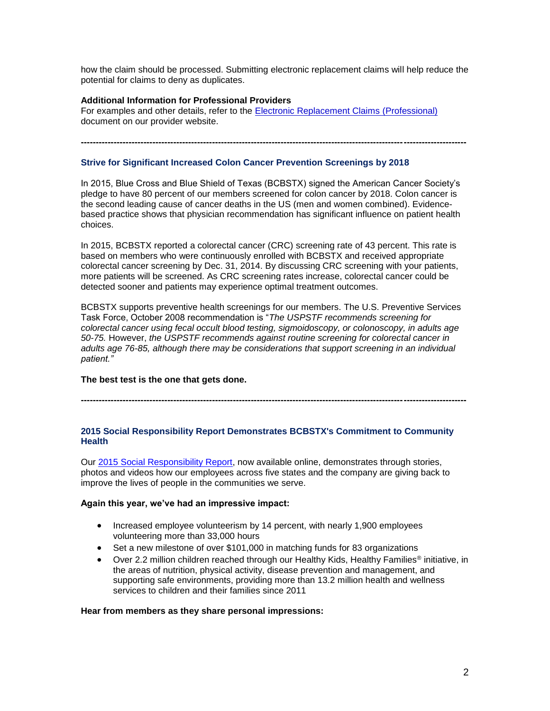how the claim should be processed. Submitting electronic replacement claims will help reduce the potential for claims to deny as duplicates.

## **Additional Information for Professional Providers**

For examples and other details, refer to the [Electronic Replacement Claims \(Professional\)](http://www.bcbstx.com/provider/news/2013_03_01.html) document on our provider website.

# **Strive for Significant Increased Colon Cancer Prevention Screenings by 2018**

In 2015, Blue Cross and Blue Shield of Texas (BCBSTX) signed the American Cancer Society's pledge to have 80 percent of our members screened for colon cancer by 2018. Colon cancer is the second leading cause of cancer deaths in the US (men and women combined). Evidencebased practice shows that physician recommendation has significant influence on patient health choices.

**---------------------------------------------------------------------------------------------------------------------------------**

In 2015, BCBSTX reported a colorectal cancer (CRC) screening rate of 43 percent. This rate is based on members who were continuously enrolled with BCBSTX and received appropriate colorectal cancer screening by Dec. 31, 2014. By discussing CRC screening with your patients, more patients will be screened. As CRC screening rates increase, colorectal cancer could be detected sooner and patients may experience optimal treatment outcomes.

BCBSTX supports preventive health screenings for our members. The U.S. Preventive Services Task Force, October 2008 recommendation is "*The USPSTF recommends screening for colorectal cancer using fecal occult blood testing, sigmoidoscopy, or colonoscopy, in adults age 50-75.* However, *the USPSTF recommends against routine screening for colorectal cancer in adults age 76-85, although there may be considerations that support screening in an individual patient."*

## **The best test is the one that gets done.**

**---------------------------------------------------------------------------------------------------------------------------------**

#### **2015 Social Responsibility Report Demonstrates BCBSTX's Commitment to Community Health**

Our [2015 Social Responsibility Report,](http://bcbstx2015srr.com/) now available online, demonstrates through stories, photos and videos how our employees across five states and the company are giving back to improve the lives of people in the communities we serve.

## **Again this year, we've had an impressive impact:**

- Increased employee volunteerism by 14 percent, with nearly 1,900 employees volunteering more than 33,000 hours
- Set a new milestone of over \$101,000 in matching funds for 83 organizations
- Over 2.2 million children reached through our Healthy Kids, Healthy Families<sup>®</sup> initiative, in the areas of nutrition, physical activity, disease prevention and management, and supporting safe environments, providing more than 13.2 million health and wellness services to children and their families since 2011

## **Hear from members as they share personal impressions:**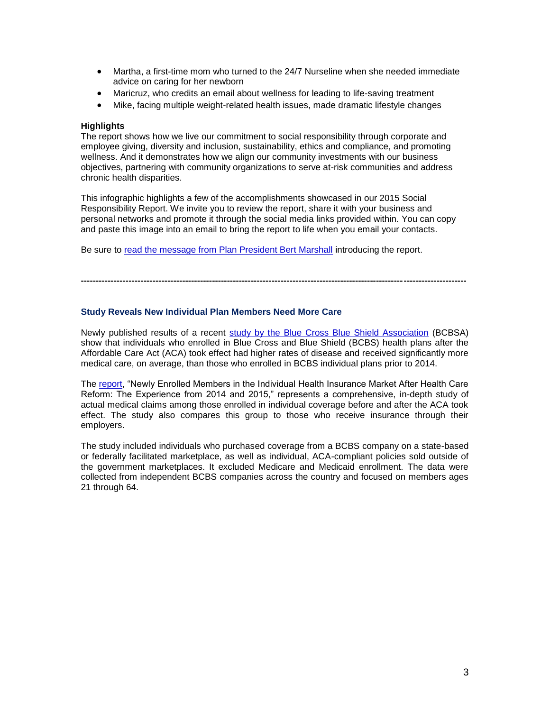- Martha, a first-time mom who turned to the 24/7 Nurseline when she needed immediate advice on caring for her newborn
- Maricruz, who credits an email about wellness for leading to life-saving treatment
- Mike, facing multiple weight-related health issues, made dramatic lifestyle changes

#### **Highlights**

The report shows how we live our commitment to social responsibility through corporate and employee giving, diversity and inclusion, sustainability, ethics and compliance, and promoting wellness. And it demonstrates how we align our community investments with our business objectives, partnering with community organizations to serve at-risk communities and address chronic health disparities.

This infographic highlights a few of the accomplishments showcased in our 2015 Social Responsibility Report. We invite you to review the report, share it with your business and personal networks and promote it through the social media links provided within. You can copy and paste this image into an email to bring the report to life when you email your contacts.

Be sure to [read the message from Plan President Bert Marshall](http://bcbstx2015srr.com/) introducing the report.

## **Study Reveals New Individual Plan Members Need More Care**

Newly published results of a recent [study by the Blue Cross Blue Shield Association](http://www.bcbs.com/healthofamerica/newly_enrolled_individuals_after_aca.pdf) (BCBSA) show that individuals who enrolled in Blue Cross and Blue Shield (BCBS) health plans after the Affordable Care Act (ACA) took effect had higher rates of disease and received significantly more medical care, on average, than those who enrolled in BCBS individual plans prior to 2014.

**---------------------------------------------------------------------------------------------------------------------------------**

The [report,](http://www.bcbs.com/healthofamerica/newly_enrolled_individuals_after_aca.pdf) "Newly Enrolled Members in the Individual Health Insurance Market After Health Care Reform: The Experience from 2014 and 2015," represents a comprehensive, in-depth study of actual medical claims among those enrolled in individual coverage before and after the ACA took effect. The study also compares this group to those who receive insurance through their employers.

The study included individuals who purchased coverage from a BCBS company on a state-based or federally facilitated marketplace, as well as individual, ACA-compliant policies sold outside of the government marketplaces. It excluded Medicare and Medicaid enrollment. The data were collected from independent BCBS companies across the country and focused on members ages 21 through 64.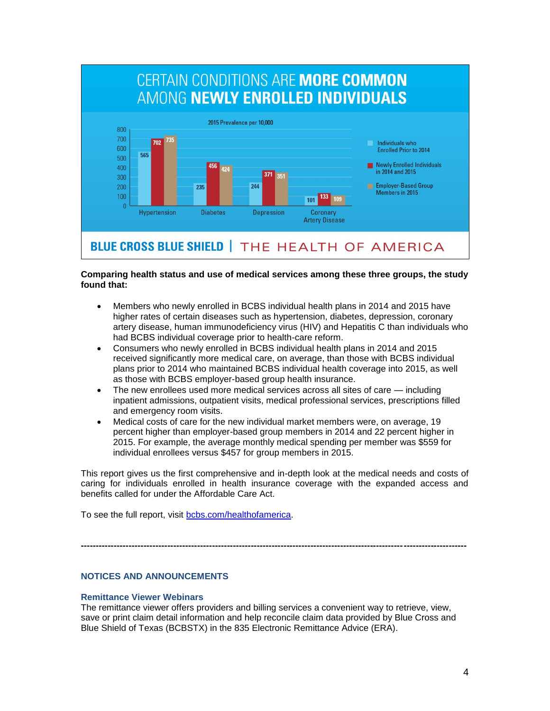

# **Comparing health status and use of medical services among these three groups, the study found that:**

- Members who newly enrolled in BCBS individual health plans in 2014 and 2015 have higher rates of certain diseases such as hypertension, diabetes, depression, coronary artery disease, human immunodeficiency virus (HIV) and Hepatitis C than individuals who had BCBS individual coverage prior to health-care reform.
- Consumers who newly enrolled in BCBS individual health plans in 2014 and 2015 received significantly more medical care, on average, than those with BCBS individual plans prior to 2014 who maintained BCBS individual health coverage into 2015, as well as those with BCBS employer-based group health insurance.
- The new enrollees used more medical services across all sites of care including inpatient admissions, outpatient visits, medical professional services, prescriptions filled and emergency room visits.
- Medical costs of care for the new individual market members were, on average, 19 percent higher than employer-based group members in 2014 and 22 percent higher in 2015. For example, the average monthly medical spending per member was \$559 for individual enrollees versus \$457 for group members in 2015.

This report gives us the first comprehensive and in-depth look at the medical needs and costs of caring for individuals enrolled in health insurance coverage with the expanded access and benefits called for under the Affordable Care Act.

To see the full report, visit [bcbs.com/healthofamerica.](http://www.bcbs.com/healthofamerica)

**---------------------------------------------------------------------------------------------------------------------------------**

# **NOTICES AND ANNOUNCEMENTS**

## **Remittance Viewer Webinars**

The remittance viewer offers providers and billing services a convenient way to retrieve, view, save or print claim detail information and help reconcile claim data provided by Blue Cross and Blue Shield of Texas (BCBSTX) in the 835 Electronic Remittance Advice (ERA).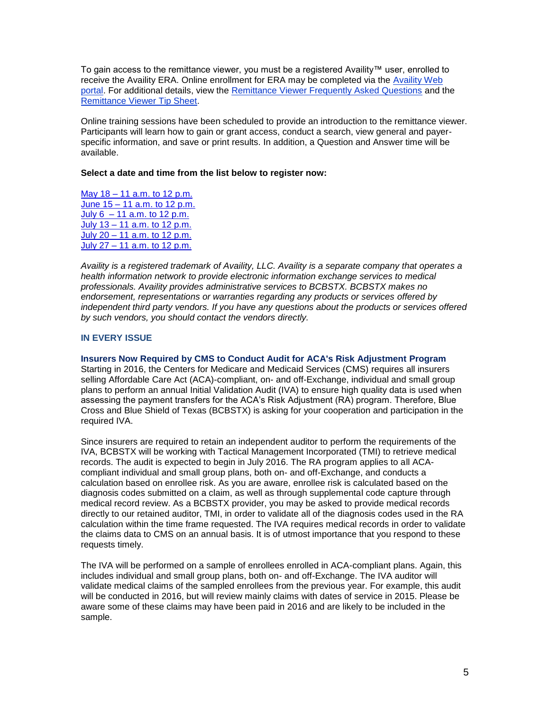To gain access to the remittance viewer, you must be a registered Availity™ user, enrolled to receive the Availity ERA. Online enrollment for ERA may be completed via the [Availity Web](http://www.availity.com/)  [portal.](http://www.availity.com/) For additional details, view the [Remittance Viewer Frequently Asked Questions](http://www.bcbstx.com/provider/pdf/remittance_viewer_faqs.pdf) and the [Remittance Viewer Tip Sheet.](http://www.bcbstx.com/provider/pdf/remittance_viewer_tip_sheet.pdf)

Online training sessions have been scheduled to provide an introduction to the remittance viewer. Participants will learn how to gain or grant access, conduct a search, view general and payerspecific information, and save or print results. In addition, a Question and Answer time will be available.

## **Select a date and time from the list below to register now:**

May 18 – [11 a.m. to 12 p.m.](https://hcsc.webex.com/hcsc/j.php?RGID=rda9d30c48b6edfd3727018dd1c335e4c) June 15 – [11 a.m. to 12 p.m.](https://hcsc.webex.com/hcsc/j.php?RGID=re76b88f7a4bf5cdba6a540fc49c4b1a8) July  $6 - 11$  a.m. to  $12$  p.m. July 13 – [11 a.m. to 12 p.m.](https://hcsc.webex.com/hcsc/j.php?RGID=r68f09b8275c4c9c1a8abc599d6313efc) July 20 – [11 a.m. to 12 p.m.](https://hcsc.webex.com/hcsc/j.php?RGID=r514e4a5859929948faa56a060ed7bd15) July 27 – [11 a.m. to 12 p.m.](https://hcsc.webex.com/hcsc/j.php?RGID=r6efd5f58dcc27755d75c626212bbc6be)

*Availity is a registered trademark of Availity, LLC. Availity is a separate company that operates a health information network to provide electronic information exchange services to medical professionals. Availity provides administrative services to BCBSTX. BCBSTX makes no endorsement, representations or warranties regarding any products or services offered by independent third party vendors. If you have any questions about the products or services offered by such vendors, you should contact the vendors directly.*

# **IN EVERY ISSUE**

**Insurers Now Required by CMS to Conduct Audit for ACA's Risk Adjustment Program** Starting in 2016, the Centers for Medicare and Medicaid Services (CMS) requires all insurers selling Affordable Care Act (ACA)-compliant, on- and off-Exchange, individual and small group plans to perform an annual Initial Validation Audit (IVA) to ensure high quality data is used when assessing the payment transfers for the ACA's Risk Adjustment (RA) program. Therefore, Blue Cross and Blue Shield of Texas (BCBSTX) is asking for your cooperation and participation in the required IVA.

Since insurers are required to retain an independent auditor to perform the requirements of the IVA, BCBSTX will be working with Tactical Management Incorporated (TMI) to retrieve medical records. The audit is expected to begin in July 2016. The RA program applies to all ACAcompliant individual and small group plans, both on- and off-Exchange, and conducts a calculation based on enrollee risk. As you are aware, enrollee risk is calculated based on the diagnosis codes submitted on a claim, as well as through supplemental code capture through medical record review. As a BCBSTX provider, you may be asked to provide medical records directly to our retained auditor, TMI, in order to validate all of the diagnosis codes used in the RA calculation within the time frame requested. The IVA requires medical records in order to validate the claims data to CMS on an annual basis. It is of utmost importance that you respond to these requests timely.

The IVA will be performed on a sample of enrollees enrolled in ACA-compliant plans. Again, this includes individual and small group plans, both on- and off-Exchange. The IVA auditor will validate medical claims of the sampled enrollees from the previous year. For example, this audit will be conducted in 2016, but will review mainly claims with dates of service in 2015. Please be aware some of these claims may have been paid in 2016 and are likely to be included in the sample.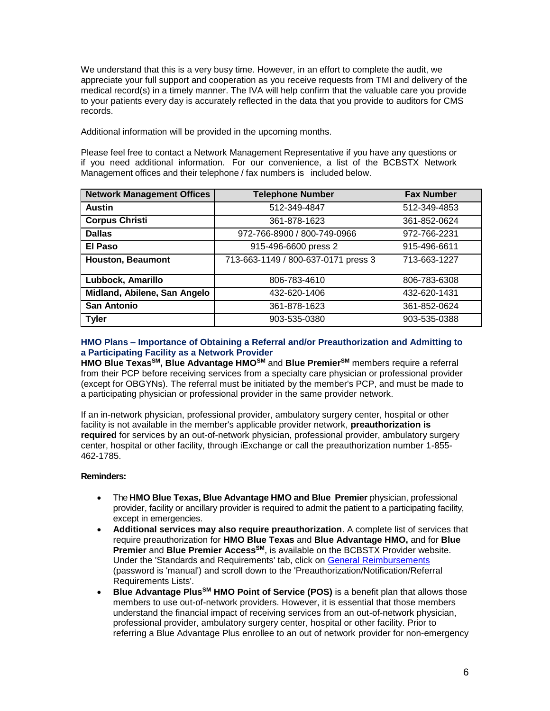We understand that this is a very busy time. However, in an effort to complete the audit, we appreciate your full support and cooperation as you receive requests from TMI and delivery of the medical record(s) in a timely manner. The IVA will help confirm that the valuable care you provide to your patients every day is accurately reflected in the data that you provide to auditors for CMS records.

Additional information will be provided in the upcoming months.

Please feel free to contact a Network Management Representative if you have any questions or if you need additional information. For our convenience, a list of the BCBSTX Network Management offices and their telephone / fax numbers is included below.

| <b>Network Management Offices</b> | <b>Telephone Number</b>             | <b>Fax Number</b> |
|-----------------------------------|-------------------------------------|-------------------|
| <b>Austin</b>                     | 512-349-4847                        | 512-349-4853      |
| <b>Corpus Christi</b>             | 361-878-1623                        | 361-852-0624      |
| <b>Dallas</b>                     | 972-766-8900 / 800-749-0966         | 972-766-2231      |
| El Paso                           | 915-496-6600 press 2                | 915-496-6611      |
| <b>Houston, Beaumont</b>          | 713-663-1149 / 800-637-0171 press 3 | 713-663-1227      |
| Lubbock, Amarillo                 | 806-783-4610                        | 806-783-6308      |
| Midland, Abilene, San Angelo      | 432-620-1406                        | 432-620-1431      |
| <b>San Antonio</b>                | 361-878-1623                        | 361-852-0624      |
| <b>Tyler</b>                      | 903-535-0380                        | 903-535-0388      |

## **HMO Plans – Importance of Obtaining a Referral and/or Preauthorization and Admitting to a Participating Facility as a Network Provider**

**HMO Blue TexasSM, Blue Advantage HMOSM** and **Blue PremierSM** members require a referral from their PCP before receiving services from a specialty care physician or professional provider (except for OBGYNs). The referral must be initiated by the member's PCP, and must be made to a participating physician or professional provider in the same provider network.

If an in-network physician, professional provider, ambulatory surgery center, hospital or other facility is not available in the member's applicable provider network, **preauthorization is required** for services by an out-of-network physician, professional provider, ambulatory surgery center, hospital or other facility, through iExchange or call the preauthorization number 1-855- 462-1785.

# **Reminders:**

- The **HMO Blue Texas, Blue Advantage HMO and Blue Premier** physician, professional provider, facility or ancillary provider is required to admit the patient to a participating facility, except in emergencies.
- **Additional services may also require preauthorization**. A complete list of services that require preauthorization for **HMO Blue Texas** and **Blue Advantage HMO,** and for **Blue Premier** and **Blue Premier AccessSM**, is available on the BCBSTX Provider website. Under the 'Standards and Requirements' tab, click on [General Reimbursements](http://www.bcbstx.com/provider/gri/gri.html) (password is 'manual') and scroll down to the 'Preauthorization/Notification/Referral Requirements Lists'.
- **Blue Advantage PlusSM HMO Point of Service (POS)** is a benefit plan that allows those members to use out-of-network providers. However, it is essential that those members understand the financial impact of receiving services from an out-of-network physician, professional provider, ambulatory surgery center, hospital or other facility. Prior to referring a Blue Advantage Plus enrollee to an out of network provider for non-emergency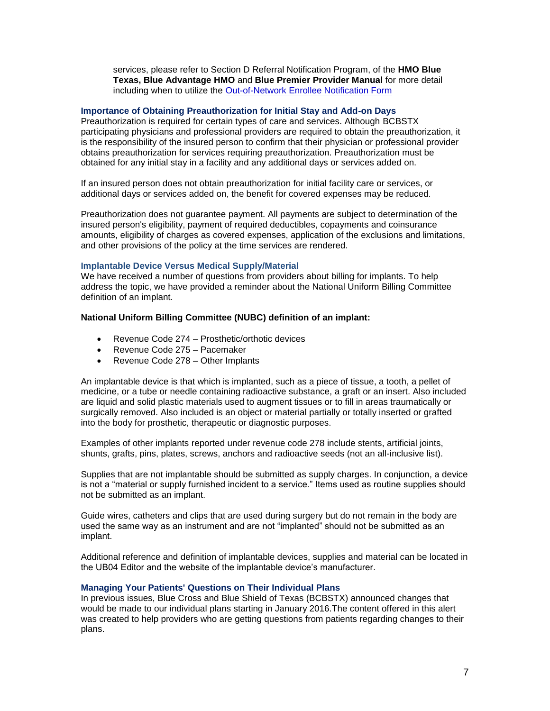services, please refer to Section D Referral Notification Program, of the **HMO Blue Texas, Blue Advantage HMO** and **Blue Premier Provider Manual** for more detail including when to utilize the [Out-of-Network Enrollee Notification Form](http://www.bcbstx.com/provider/pdf/out-of-network-care-enrollee-notification-form.pdf)

# **Importance of Obtaining Preauthorization for Initial Stay and Add-on Days**

Preauthorization is required for certain types of care and services. Although BCBSTX participating physicians and professional providers are required to obtain the preauthorization, it is the responsibility of the insured person to confirm that their physician or professional provider obtains preauthorization for services requiring preauthorization. Preauthorization must be obtained for any initial stay in a facility and any additional days or services added on.

If an insured person does not obtain preauthorization for initial facility care or services, or additional days or services added on, the benefit for covered expenses may be reduced.

Preauthorization does not guarantee payment. All payments are subject to determination of the insured person's eligibility, payment of required deductibles, copayments and coinsurance amounts, eligibility of charges as covered expenses, application of the exclusions and limitations, and other provisions of the policy at the time services are rendered.

#### **Implantable Device Versus Medical Supply/Material**

We have received a number of questions from providers about billing for implants. To help address the topic, we have provided a reminder about the National Uniform Billing Committee definition of an implant.

#### **National Uniform Billing Committee (NUBC) definition of an implant:**

- Revenue Code 274 Prosthetic/orthotic devices
- Revenue Code 275 Pacemaker
- Revenue Code 278 Other Implants

An implantable device is that which is implanted, such as a piece of tissue, a tooth, a pellet of medicine, or a tube or needle containing radioactive substance, a graft or an insert. Also included are liquid and solid plastic materials used to augment tissues or to fill in areas traumatically or surgically removed. Also included is an object or material partially or totally inserted or grafted into the body for prosthetic, therapeutic or diagnostic purposes.

Examples of other implants reported under revenue code 278 include stents, artificial joints, shunts, grafts, pins, plates, screws, anchors and radioactive seeds (not an all-inclusive list).

Supplies that are not implantable should be submitted as supply charges. In conjunction, a device is not a "material or supply furnished incident to a service." Items used as routine supplies should not be submitted as an implant.

Guide wires, catheters and clips that are used during surgery but do not remain in the body are used the same way as an instrument and are not "implanted" should not be submitted as an implant.

Additional reference and definition of implantable devices, supplies and material can be located in the UB04 Editor and the website of the implantable device's manufacturer.

## **Managing Your Patients' Questions on Their Individual Plans**

In previous issues, Blue Cross and Blue Shield of Texas (BCBSTX) announced changes that would be made to our individual plans starting in January 2016.The content offered in this alert was created to help providers who are getting questions from patients regarding changes to their plans.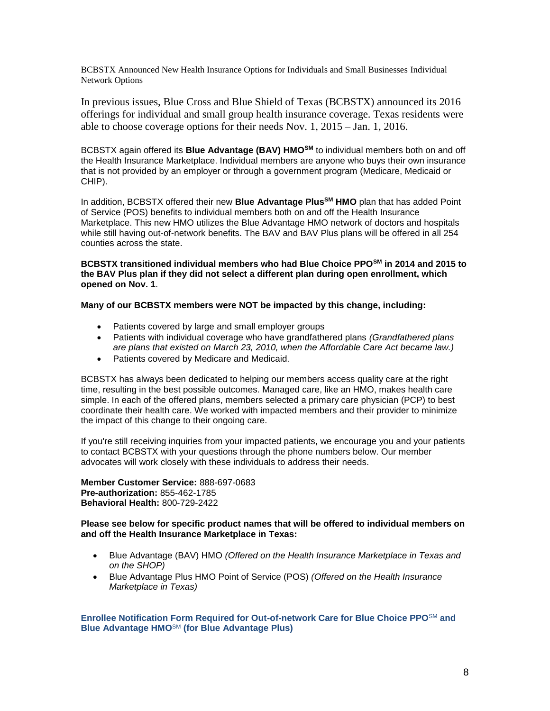BCBSTX Announced New Health Insurance Options for Individuals and Small Businesses Individual Network Options

In previous issues, Blue Cross and Blue Shield of Texas (BCBSTX) announced its 2016 offerings for individual and small group health insurance coverage. Texas residents were able to choose coverage options for their needs Nov. 1, 2015 – Jan. 1, 2016.

BCBSTX again offered its **Blue Advantage (BAV) HMOSM** to individual members both on and off the Health Insurance Marketplace. Individual members are anyone who buys their own insurance that is not provided by an employer or through a government program (Medicare, Medicaid or CHIP).

In addition, BCBSTX offered their new **Blue Advantage PlusSM HMO** plan that has added Point of Service (POS) benefits to individual members both on and off the Health Insurance Marketplace. This new HMO utilizes the Blue Advantage HMO network of doctors and hospitals while still having out-of-network benefits. The BAV and BAV Plus plans will be offered in all 254 counties across the state.

**BCBSTX transitioned individual members who had Blue Choice PPOSM in 2014 and 2015 to the BAV Plus plan if they did not select a different plan during open enrollment, which opened on Nov. 1**.

**Many of our BCBSTX members were NOT be impacted by this change, including:**

- Patients covered by large and small employer groups
- Patients with individual coverage who have grandfathered plans *(Grandfathered plans are plans that existed on March 23, 2010, when the Affordable Care Act became law.)*
- Patients covered by Medicare and Medicaid.

BCBSTX has always been dedicated to helping our members access quality care at the right time, resulting in the best possible outcomes. Managed care, like an HMO, makes health care simple. In each of the offered plans, members selected a primary care physician (PCP) to best coordinate their health care. We worked with impacted members and their provider to minimize the impact of this change to their ongoing care.

If you're still receiving inquiries from your impacted patients, we encourage you and your patients to contact BCBSTX with your questions through the phone numbers below. Our member advocates will work closely with these individuals to address their needs.

**Member Customer Service:** 888-697-0683 **Pre-authorization:** 855-462-1785 **Behavioral Health:** 800-729-2422

## **Please see below for specific product names that will be offered to individual members on and off the Health Insurance Marketplace in Texas:**

- Blue Advantage (BAV) HMO *(Offered on the Health Insurance Marketplace in Texas and on the SHOP)*
- Blue Advantage Plus HMO Point of Service (POS) *(Offered on the Health Insurance Marketplace in Texas)*

**Enrollee Notification Form Required for Out-of-network Care for Blue Choice PPO**SM **and Blue Advantage HMO**SM **(for Blue Advantage Plus)**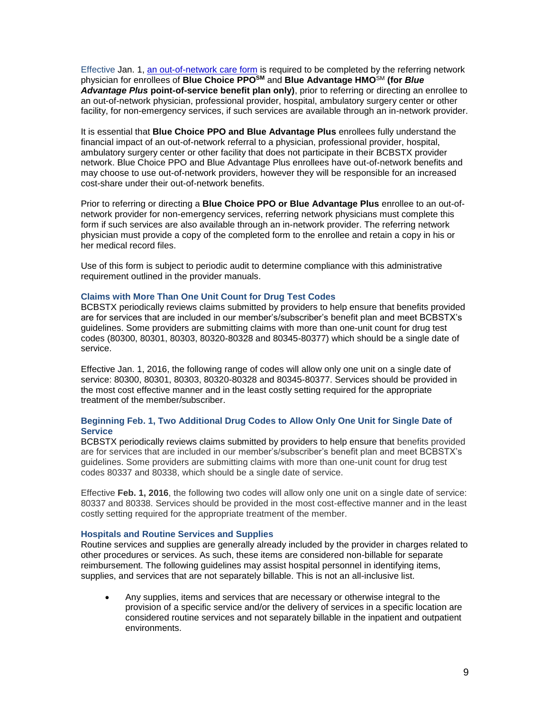Effective Jan. 1, [an out-of-network care form](http://www.bcbstx.com/provider/pdf/out-of-network-care-enrollee-notification-form.pdf) is required to be completed by the referring network physician for enrollees of **Blue Choice PPOSM** and **Blue Advantage HMO**SM **(for** *Blue Advantage Plus* **point-of-service benefit plan only)**, prior to referring or directing an enrollee to an out-of-network physician, professional provider, hospital, ambulatory surgery center or other facility, for non-emergency services, if such services are available through an in-network provider.

It is essential that **Blue Choice PPO and Blue Advantage Plus** enrollees fully understand the financial impact of an out-of-network referral to a physician, professional provider, hospital, ambulatory surgery center or other facility that does not participate in their BCBSTX provider network. Blue Choice PPO and Blue Advantage Plus enrollees have out-of-network benefits and may choose to use out-of-network providers, however they will be responsible for an increased cost-share under their out-of-network benefits.

Prior to referring or directing a **Blue Choice PPO or Blue Advantage Plus** enrollee to an out-ofnetwork provider for non-emergency services, referring network physicians must complete this form if such services are also available through an in-network provider. The referring network physician must provide a copy of the completed form to the enrollee and retain a copy in his or her medical record files.

Use of this form is subject to periodic audit to determine compliance with this administrative requirement outlined in the provider manuals.

## **Claims with More Than One Unit Count for Drug Test Codes**

BCBSTX periodically reviews claims submitted by providers to help ensure that benefits provided are for services that are included in our member's/subscriber's benefit plan and meet BCBSTX's guidelines. Some providers are submitting claims with more than one-unit count for drug test codes (80300, 80301, 80303, 80320-80328 and 80345-80377) which should be a single date of service.

Effective Jan. 1, 2016, the following range of codes will allow only one unit on a single date of service: 80300, 80301, 80303, 80320-80328 and 80345-80377. Services should be provided in the most cost effective manner and in the least costly setting required for the appropriate treatment of the member/subscriber.

## **Beginning Feb. 1, Two Additional Drug Codes to Allow Only One Unit for Single Date of Service**

BCBSTX periodically reviews claims submitted by providers to help ensure that benefits provided are for services that are included in our member's/subscriber's benefit plan and meet BCBSTX's guidelines. Some providers are submitting claims with more than one-unit count for drug test codes 80337 and 80338, which should be a single date of service.

Effective **Feb. 1, 2016**, the following two codes will allow only one unit on a single date of service: 80337 and 80338. Services should be provided in the most cost-effective manner and in the least costly setting required for the appropriate treatment of the member.

#### **Hospitals and Routine Services and Supplies**

Routine services and supplies are generally already included by the provider in charges related to other procedures or services. As such, these items are considered non-billable for separate reimbursement. The following guidelines may assist hospital personnel in identifying items, supplies, and services that are not separately billable. This is not an all-inclusive list.

 Any supplies, items and services that are necessary or otherwise integral to the provision of a specific service and/or the delivery of services in a specific location are considered routine services and not separately billable in the inpatient and outpatient environments.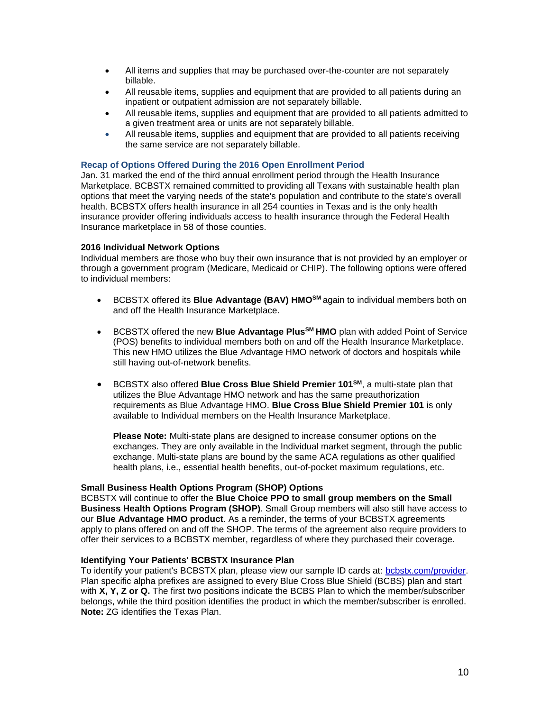- All items and supplies that may be purchased over-the-counter are not separately billable.
- All reusable items, supplies and equipment that are provided to all patients during an inpatient or outpatient admission are not separately billable.
- All reusable items, supplies and equipment that are provided to all patients admitted to a given treatment area or units are not separately billable.
- All reusable items, supplies and equipment that are provided to all patients receiving the same service are not separately billable.

# **Recap of Options Offered During the 2016 Open Enrollment Period**

Jan. 31 marked the end of the third annual enrollment period through the Health Insurance Marketplace. BCBSTX remained committed to providing all Texans with sustainable health plan options that meet the varying needs of the state's population and contribute to the state's overall health. BCBSTX offers health insurance in all 254 counties in Texas and is the only health insurance provider offering individuals access to health insurance through the Federal Health Insurance marketplace in 58 of those counties.

## **2016 Individual Network Options**

Individual members are those who buy their own insurance that is not provided by an employer or through a government program (Medicare, Medicaid or CHIP). The following options were offered to individual members:

- **BCBSTX offered its Blue Advantage (BAV) HMO<sup>SM</sup> again to individual members both on a** and off the Health Insurance Marketplace.
- BCBSTX offered the new **Blue Advantage PlusSM HMO** plan with added Point of Service (POS) benefits to individual members both on and off the Health Insurance Marketplace. This new HMO utilizes the Blue Advantage HMO network of doctors and hospitals while still having out-of-network benefits.
- BCBSTX also offered **Blue Cross Blue Shield Premier 101SM**, a multi-state plan that utilizes the Blue Advantage HMO network and has the same preauthorization requirements as Blue Advantage HMO. **[Blue Cross Blue Shield Premier 101](http://www.bcbstx.com/provider/pdf/hmo_bav_referral_list.pdf)** is only [available to Individual members on the Health Insurance Marketplace.](http://www.bcbstx.com/provider/pdf/hmo_bav_referral_list.pdf)

**Please Note:** [Multi-state plans are designed to increase consumer options on the](http://www.bcbstx.com/provider/pdf/hmo_bav_referral_list.pdf)  [exchanges. They are only available in the Individual market segment, through the public](http://www.bcbstx.com/provider/pdf/hmo_bav_referral_list.pdf)  [exchange. Multi-state plans are bound by the](http://www.bcbstx.com/provider/pdf/hmo_bav_referral_list.pdf) same ACA regulations as other qualified [health plans, i.e., essential health benefits, out-of-pocket maximum regulations, etc.](http://www.bcbstx.com/provider/pdf/hmo_bav_referral_list.pdf) 

## **Small Business Health Options Program (SHOP) Options**

BCBSTX will continue to offer the **Blue Choice PPO to small group members on the Small Business Health Options Program (SHOP)**. Small Group members will also still have access to our **Blue Advantage HMO product**. As a reminder, the terms of your BCBSTX agreements apply to plans offered on and off the SHOP. The terms of the agreement also require providers to offer their services to a BCBSTX member, regardless of where they purchased their coverage.

## **Identifying Your Patients' BCBSTX Insurance Plan**

To identify your patient's BCBSTX plan, please view our sample ID cards at: [bcbstx.com/provider.](http://www.bcbstx.com/provider/training/id_card_samples.html) Plan specific alpha prefixes are assigned to every Blue Cross Blue Shield (BCBS) plan and start with **X, Y, Z or Q.** The first two positions indicate the BCBS Plan to which the member/subscriber belongs, while the third position identifies the product in which the member/subscriber is enrolled. **Note:** ZG identifies the Texas Plan.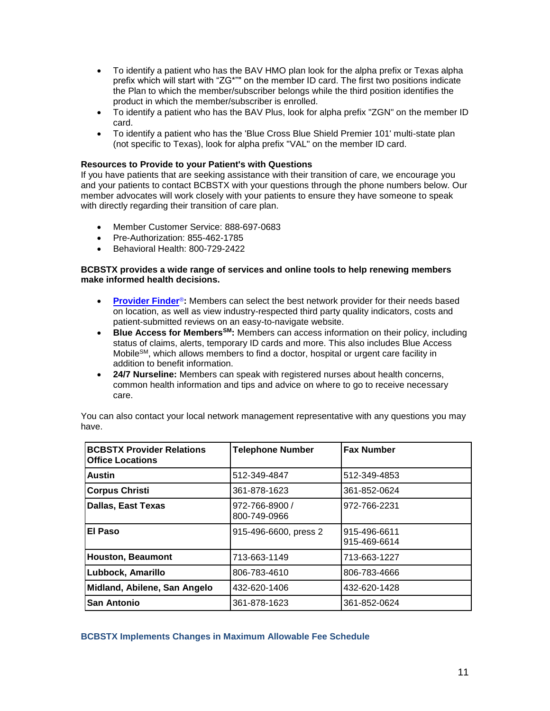- To identify a patient who has the BAV HMO plan look for the alpha prefix or Texas alpha prefix which will start with "ZG\*"" on the member ID card. The first two positions indicate the Plan to which the member/subscriber belongs while the third position identifies the product in which the member/subscriber is enrolled.
- To identify a patient who has the BAV Plus, look for alpha prefix "ZGN" on the member ID card.
- To identify a patient who has the 'Blue Cross Blue Shield Premier 101' multi-state plan (not specific to Texas), look for alpha prefix "VAL" on the member ID card.

## **Resources to Provide to your Patient's with Questions**

If you have patients that are seeking assistance with their transition of care, we encourage you and your patients to contact BCBSTX with your questions through the phone numbers below. Our member advocates will work closely with your patients to ensure they have someone to speak with directly regarding their transition of care plan.

- Member Customer Service: 888-697-0683
- Pre-Authorization: 855-462-1785
- Behavioral Health: 800-729-2422

## **BCBSTX provides a wide range of services and online tools to help renewing members make informed health decisions.**

- **[Provider Finder](https://www.bcbstx.com/find-a-doctor-or-hospital)<sup>®</sup>:** Members can select the best network provider for their needs based on location, as well as view industry-respected third party quality indicators, costs and patient-submitted reviews on an easy-to-navigate website.
- **Blue Access for MembersSM:** Members can access information on their policy, including status of claims, alerts, temporary ID cards and more. This also includes Blue Access Mobile<sup>SM</sup>, which allows members to find a doctor, hospital or urgent care facility in addition to benefit information.
- **24/7 Nurseline:** Members can speak with registered nurses about health concerns, common health information and tips and advice on where to go to receive necessary care.

| <b>BCBSTX Provider Relations</b><br><b>Office Locations</b> | <b>Telephone Number</b>        | <b>Fax Number</b>            |
|-------------------------------------------------------------|--------------------------------|------------------------------|
| <b>Austin</b>                                               | 512-349-4847                   | 512-349-4853                 |
| <b>Corpus Christi</b>                                       | 361-878-1623                   | 361-852-0624                 |
| <b>Dallas, East Texas</b>                                   | 972-766-8900 /<br>800-749-0966 | 972-766-2231                 |
| El Paso                                                     | 915-496-6600, press 2          | 915-496-6611<br>915-469-6614 |
| <b>Houston, Beaumont</b>                                    | 713-663-1149                   | 713-663-1227                 |
| Lubbock, Amarillo                                           | 806-783-4610                   | 806-783-4666                 |
| Midland, Abilene, San Angelo                                | 432-620-1406                   | 432-620-1428                 |
| <b>San Antonio</b>                                          | 361-878-1623                   | 361-852-0624                 |

You can also contact your local network management representative with any questions you may have.

## **BCBSTX Implements Changes in Maximum Allowable Fee Schedule**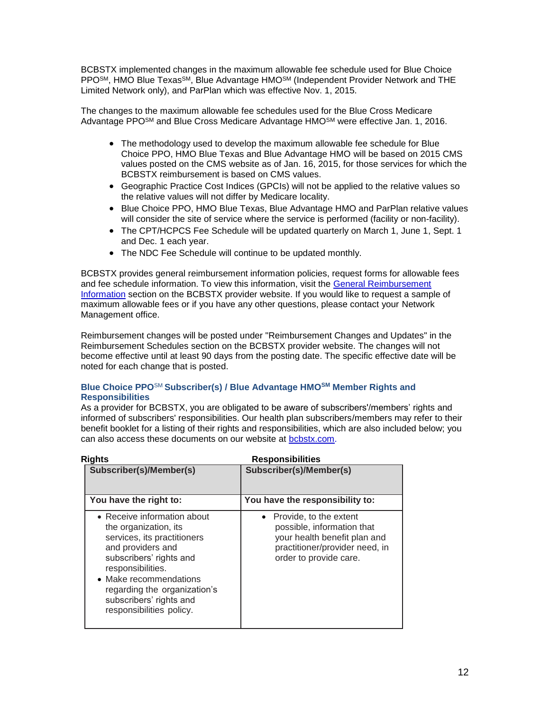BCBSTX implemented changes in the maximum allowable fee schedule used for Blue Choice PPOSM, HMO Blue TexasSM, Blue Advantage HMOSM (Independent Provider Network and THE Limited Network only), and ParPlan which was effective Nov. 1, 2015.

The changes to the maximum allowable fee schedules used for the Blue Cross Medicare Advantage PPO<sup>SM</sup> and Blue Cross Medicare Advantage HMO<sup>SM</sup> were effective Jan. 1, 2016.

- The methodology used to develop the maximum allowable fee schedule for Blue Choice PPO, HMO Blue Texas and Blue Advantage HMO will be based on 2015 CMS values posted on the CMS website as of Jan. 16, 2015, for those services for which the BCBSTX reimbursement is based on CMS values.
- Geographic Practice Cost Indices (GPCIs) will not be applied to the relative values so the relative values will not differ by Medicare locality.
- Blue Choice PPO, HMO Blue Texas, Blue Advantage HMO and ParPlan relative values will consider the site of service where the service is performed (facility or non-facility).
- The CPT/HCPCS Fee Schedule will be updated quarterly on March 1, June 1, Sept. 1 and Dec. 1 each year.
- The NDC Fee Schedule will continue to be updated monthly.

BCBSTX provides general reimbursement information policies, request forms for allowable fees and fee schedule information. To view this information, visit the [General Reimbursement](http://www.bcbstx.com/provider/gri/index.html)  [Information](http://www.bcbstx.com/provider/gri/index.html) section on the BCBSTX provider website. If you would like to request a sample of maximum allowable fees or if you have any other questions, please contact your Network Management office.

Reimbursement changes will be posted under "Reimbursement Changes and Updates" in the Reimbursement Schedules section on the BCBSTX provider website. The changes will not become effective until at least 90 days from the posting date. The specific effective date will be noted for each change that is posted.

# **Blue Choice PPO**SM **Subscriber(s) / Blue Advantage HMOSM Member Rights and Responsibilities**

As a provider for BCBSTX, you are obligated to be aware of subscribers'/members' rights and informed of subscribers' responsibilities. Our health plan subscribers/members may refer to their benefit booklet for a listing of their rights and responsibilities, which are also included below; you can also access these documents on our website at [bcbstx.com.](http://www.bcbstx.com/)

| <b>Rights</b>                                                                                                                                                                                                                                                             | <b>Responsibilities</b>                                                                                                                                       |  |
|---------------------------------------------------------------------------------------------------------------------------------------------------------------------------------------------------------------------------------------------------------------------------|---------------------------------------------------------------------------------------------------------------------------------------------------------------|--|
| Subscriber(s)/Member(s)                                                                                                                                                                                                                                                   | Subscriber(s)/Member(s)                                                                                                                                       |  |
| You have the right to:                                                                                                                                                                                                                                                    | You have the responsibility to:                                                                                                                               |  |
| • Receive information about<br>the organization, its<br>services, its practitioners<br>and providers and<br>subscribers' rights and<br>responsibilities.<br>• Make recommendations<br>regarding the organization's<br>subscribers' rights and<br>responsibilities policy. | Provide, to the extent<br>$\bullet$<br>possible, information that<br>your health benefit plan and<br>practitioner/provider need, in<br>order to provide care. |  |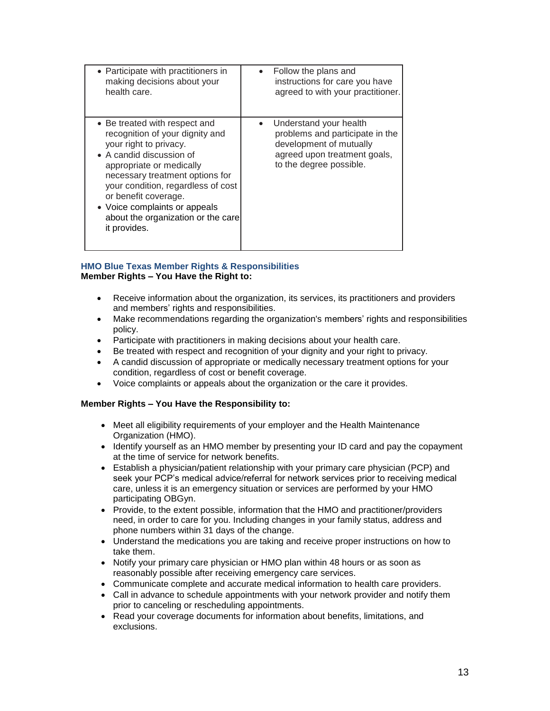| • Participate with practitioners in                                                                                                                                                                                                                                                                                                        | • Follow the plans and                                                                                                                          |
|--------------------------------------------------------------------------------------------------------------------------------------------------------------------------------------------------------------------------------------------------------------------------------------------------------------------------------------------|-------------------------------------------------------------------------------------------------------------------------------------------------|
| making decisions about your                                                                                                                                                                                                                                                                                                                | instructions for care you have                                                                                                                  |
| health care.                                                                                                                                                                                                                                                                                                                               | agreed to with your practitioner.                                                                                                               |
| • Be treated with respect and<br>recognition of your dignity and<br>your right to privacy.<br>• A candid discussion of<br>appropriate or medically<br>necessary treatment options for<br>your condition, regardless of cost<br>or benefit coverage.<br>• Voice complaints or appeals<br>about the organization or the care<br>it provides. | Understand your health<br>problems and participate in the<br>development of mutually<br>agreed upon treatment goals,<br>to the degree possible. |

# **HMO Blue Texas Member Rights & Responsibilities Member Rights – You Have the Right to:**

- Receive information about the organization, its services, its practitioners and providers and members' rights and responsibilities.
- Make recommendations regarding the organization's members' rights and responsibilities policy.
- Participate with practitioners in making decisions about your health care.
- Be treated with respect and recognition of your dignity and your right to privacy.
- A candid discussion of appropriate or medically necessary treatment options for your condition, regardless of cost or benefit coverage.
- Voice complaints or appeals about the organization or the care it provides.

# **Member Rights – You Have the Responsibility to:**

- Meet all eligibility requirements of your employer and the Health Maintenance Organization (HMO).
- Identify yourself as an HMO member by presenting your ID card and pay the copayment at the time of service for network benefits.
- Establish a physician/patient relationship with your primary care physician (PCP) and seek your PCP's medical advice/referral for network services prior to receiving medical care, unless it is an emergency situation or services are performed by your HMO participating OBGyn.
- Provide, to the extent possible, information that the HMO and practitioner/providers need, in order to care for you. Including changes in your family status, address and phone numbers within 31 days of the change.
- Understand the medications you are taking and receive proper instructions on how to take them.
- Notify your primary care physician or HMO plan within 48 hours or as soon as reasonably possible after receiving emergency care services.
- Communicate complete and accurate medical information to health care providers.
- Call in advance to schedule appointments with your network provider and notify them prior to canceling or rescheduling appointments.
- Read your coverage documents for information about benefits, limitations, and exclusions.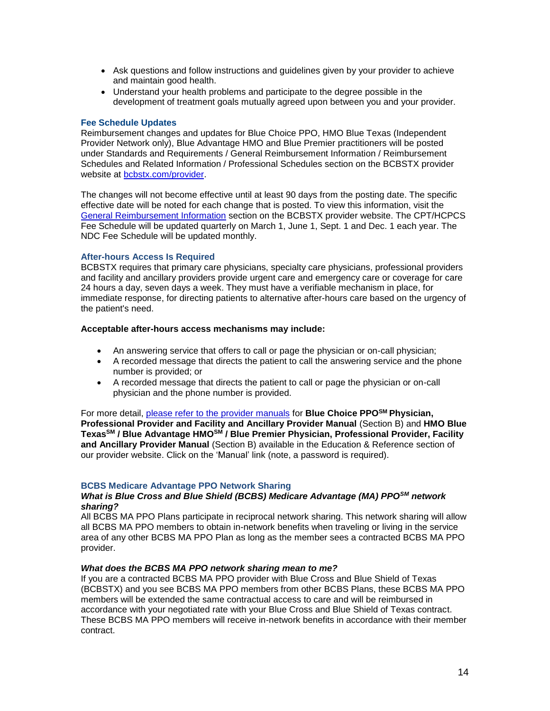- Ask questions and follow instructions and quidelines given by your provider to achieve and maintain good health.
- Understand your health problems and participate to the degree possible in the development of treatment goals mutually agreed upon between you and your provider.

## **Fee Schedule Updates**

Reimbursement changes and updates for Blue Choice PPO, HMO Blue Texas (Independent Provider Network only), Blue Advantage HMO and Blue Premier practitioners will be posted under Standards and Requirements / General Reimbursement Information / Reimbursement Schedules and Related Information / Professional Schedules section on the BCBSTX provider website at bcbstx.com/provider

The changes will not become effective until at least 90 days from the posting date. The specific effective date will be noted for each change that is posted. To view this information, visit the [General Reimbursement Information](http://www.bcbstx.com/provider/gri/index.html) section on the BCBSTX provider website. The CPT/HCPCS Fee Schedule will be updated quarterly on March 1, June 1, Sept. 1 and Dec. 1 each year. The NDC Fee Schedule will be updated monthly.

# **After-hours Access Is Required**

BCBSTX requires that primary care physicians, specialty care physicians, professional providers and facility and ancillary providers provide urgent care and emergency care or coverage for care 24 hours a day, seven days a week. They must have a verifiable mechanism in place, for immediate response, for directing patients to alternative after-hours care based on the urgency of the patient's need.

## **Acceptable after-hours access mechanisms may include:**

- An answering service that offers to call or page the physician or on-call physician;
- A recorded message that directs the patient to call the answering service and the phone number is provided; or
- A recorded message that directs the patient to call or page the physician or on-call physician and the phone number is provided.

For more detail, [please refer to the provider manuals](http://www.bcbstx.com/provider/gri/index.html) for **Blue Choice PPOSM Physician, Professional Provider and Facility and Ancillary Provider Manual** (Section B) and **HMO Blue TexasSM / Blue Advantage HMOSM / Blue Premier Physician, Professional Provider, Facility and Ancillary Provider Manual** (Section B) available in the Education & Reference section of our provider website. Click on the 'Manual' link (note, a password is required).

# **BCBS Medicare Advantage PPO Network Sharing**

## *What is Blue Cross and Blue Shield (BCBS) Medicare Advantage (MA) PPOSM network sharing?*

All BCBS MA PPO Plans participate in reciprocal network sharing. This network sharing will allow all BCBS MA PPO members to obtain in-network benefits when traveling or living in the service area of any other BCBS MA PPO Plan as long as the member sees a contracted BCBS MA PPO provider.

## *What does the BCBS MA PPO network sharing mean to me?*

If you are a contracted BCBS MA PPO provider with Blue Cross and Blue Shield of Texas (BCBSTX) and you see BCBS MA PPO members from other BCBS Plans, these BCBS MA PPO members will be extended the same contractual access to care and will be reimbursed in accordance with your negotiated rate with your Blue Cross and Blue Shield of Texas contract. These BCBS MA PPO members will receive in-network benefits in accordance with their member contract.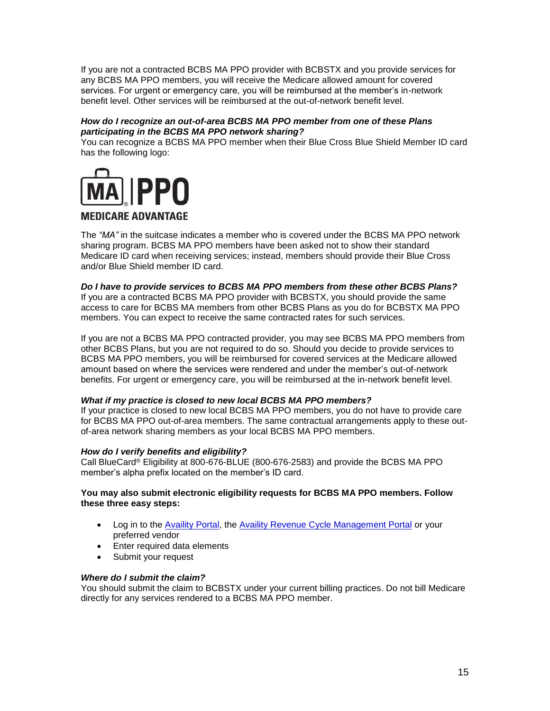If you are not a contracted BCBS MA PPO provider with BCBSTX and you provide services for any BCBS MA PPO members, you will receive the Medicare allowed amount for covered services. For urgent or emergency care, you will be reimbursed at the member's in-network benefit level. Other services will be reimbursed at the out-of-network benefit level.

# *How do I recognize an out-of-area BCBS MA PPO member from one of these Plans participating in the BCBS MA PPO network sharing?*

You can recognize a BCBS MA PPO member when their Blue Cross Blue Shield Member ID card has the following logo:



# **MEDICARE ADVANTAGE**

The *"MA"* in the suitcase indicates a member who is covered under the BCBS MA PPO network sharing program. BCBS MA PPO members have been asked not to show their standard Medicare ID card when receiving services; instead, members should provide their Blue Cross and/or Blue Shield member ID card.

# *Do I have to provide services to BCBS MA PPO members from these other BCBS Plans?*

If you are a contracted BCBS MA PPO provider with BCBSTX, you should provide the same access to care for BCBS MA members from other BCBS Plans as you do for BCBSTX MA PPO members. You can expect to receive the same contracted rates for such services.

If you are not a BCBS MA PPO contracted provider, you may see BCBS MA PPO members from other BCBS Plans, but you are not required to do so. Should you decide to provide services to BCBS MA PPO members, you will be reimbursed for covered services at the Medicare allowed amount based on where the services were rendered and under the member's out-of-network benefits. For urgent or emergency care, you will be reimbursed at the in-network benefit level.

# *What if my practice is closed to new local BCBS MA PPO members?*

If your practice is closed to new local BCBS MA PPO members, you do not have to provide care for BCBS MA PPO out-of-area members. The same contractual arrangements apply to these outof-area network sharing members as your local BCBS MA PPO members.

# *How do I verify benefits and eligibility?*

Call BlueCard® Eligibility at 800-676-BLUE (800-676-2583) and provide the BCBS MA PPO member's alpha prefix located on the member's ID card.

## **You may also submit electronic eligibility requests for BCBS MA PPO members. Follow these three easy steps:**

- Log in to the [Availity Portal,](http://www.availity.com/) the [Availity Revenue Cycle Management Portal](https://claims.realmed.com/) or your preferred vendor
- Enter required data elements
- Submit your request

## *Where do I submit the claim?*

You should submit the claim to BCBSTX under your current billing practices. Do not bill Medicare directly for any services rendered to a BCBS MA PPO member.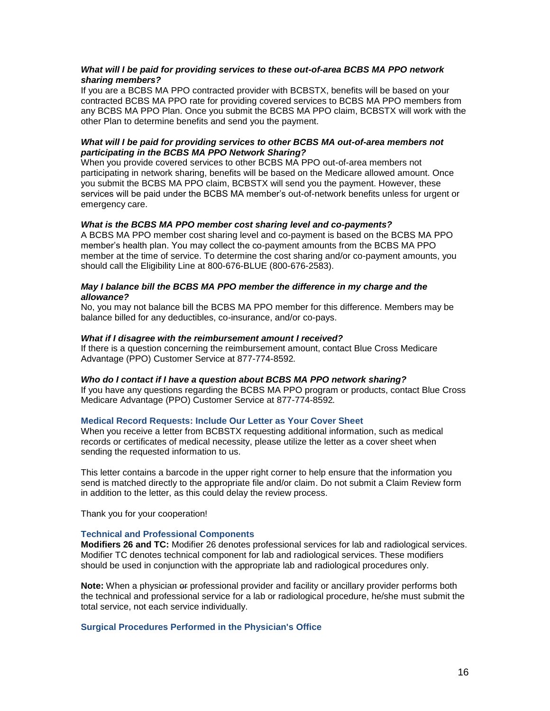## *What will I be paid for providing services to these out-of-area BCBS MA PPO network sharing members?*

If you are a BCBS MA PPO contracted provider with BCBSTX, benefits will be based on your contracted BCBS MA PPO rate for providing covered services to BCBS MA PPO members from any BCBS MA PPO Plan. Once you submit the BCBS MA PPO claim, BCBSTX will work with the other Plan to determine benefits and send you the payment.

## *What will I be paid for providing services to other BCBS MA out-of-area members not participating in the BCBS MA PPO Network Sharing?*

When you provide covered services to other BCBS MA PPO out-of-area members not participating in network sharing, benefits will be based on the Medicare allowed amount. Once you submit the BCBS MA PPO claim, BCBSTX will send you the payment. However, these services will be paid under the BCBS MA member's out-of-network benefits unless for urgent or emergency care.

## *What is the BCBS MA PPO member cost sharing level and co-payments?*

A BCBS MA PPO member cost sharing level and co-payment is based on the BCBS MA PPO member's health plan. You may collect the co-payment amounts from the BCBS MA PPO member at the time of service. To determine the cost sharing and/or co-payment amounts, you should call the Eligibility Line at 800-676-BLUE (800-676-2583).

## *May I balance bill the BCBS MA PPO member the difference in my charge and the allowance?*

No, you may not balance bill the BCBS MA PPO member for this difference. Members may be balance billed for any deductibles, co-insurance, and/or co-pays.

## *What if I disagree with the reimbursement amount I received?*

If there is a question concerning the reimbursement amount, contact Blue Cross Medicare Advantage (PPO) Customer Service at 877-774-8592*.*

## *Who do I contact if I have a question about BCBS MA PPO network sharing?*

If you have any questions regarding the BCBS MA PPO program or products, contact Blue Cross Medicare Advantage (PPO) Customer Service at 877-774-8592*.*

## **Medical Record Requests: Include Our Letter as Your Cover Sheet**

When you receive a letter from BCBSTX requesting additional information, such as medical records or certificates of medical necessity, please utilize the letter as a cover sheet when sending the requested information to us.

This letter contains a barcode in the upper right corner to help ensure that the information you send is matched directly to the appropriate file and/or claim. Do not submit a Claim Review form in addition to the letter, as this could delay the review process.

Thank you for your cooperation!

## **Technical and Professional Components**

**Modifiers 26 and TC:** Modifier 26 denotes professional services for lab and radiological services. Modifier TC denotes technical component for lab and radiological services. These modifiers should be used in conjunction with the appropriate lab and radiological procedures only.

**Note:** When a physician or professional provider and facility or ancillary provider performs both the technical and professional service for a lab or radiological procedure, he/she must submit the total service, not each service individually.

## **Surgical Procedures Performed in the Physician's Office**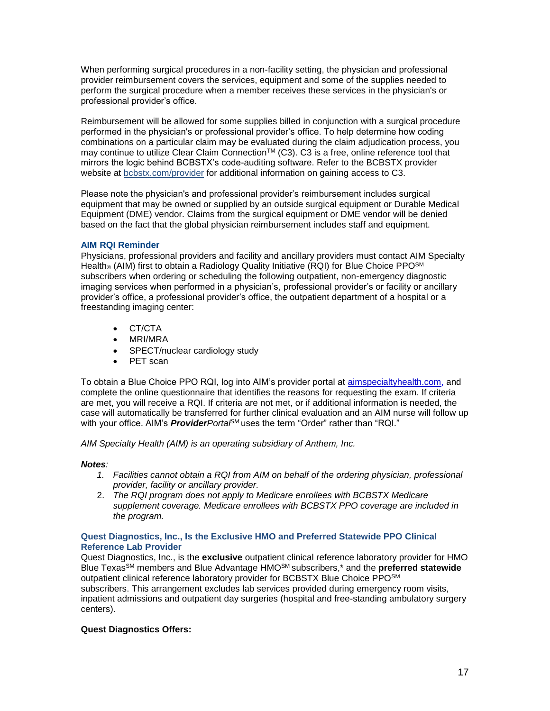When performing surgical procedures in a non-facility setting, the physician and professional provider reimbursement covers the services, equipment and some of the supplies needed to perform the surgical procedure when a member receives these services in the physician's or professional provider's office.

Reimbursement will be allowed for some supplies billed in conjunction with a surgical procedure performed in the physician's or professional provider's office. To help determine how coding combinations on a particular claim may be evaluated during the claim adjudication process, you may continue to utilize Clear Claim Connection™ (C3). C3 is a free, online reference tool that mirrors the logic behind BCBSTX's code-auditing software. Refer to the BCBSTX provider website at [bcbstx.com/provider](http://www.bcbstx.com/provider/tools/clear_claim_connection.html) for additional information on gaining access to C3.

Please note the physician's and professional provider's reimbursement includes surgical equipment that may be owned or supplied by an outside surgical equipment or Durable Medical Equipment (DME) vendor. Claims from the surgical equipment or DME vendor will be denied based on the fact that the global physician reimbursement includes staff and equipment.

# **AIM RQI Reminder**

Physicians, professional providers and facility and ancillary providers must contact AIM Specialty Health<sub>®</sub> (AIM) first to obtain a Radiology Quality Initiative (RQI) for Blue Choice PPO<sup>SM</sup> subscribers when ordering or scheduling the following outpatient, non-emergency diagnostic imaging services when performed in a physician's, professional provider's or facility or ancillary provider's office, a professional provider's office, the outpatient department of a hospital or a freestanding imaging center:

- CT/CTA
- MRI/MRA
- SPECT/nuclear cardiology study
- PET scan

To obtain a Blue Choice PPO RQI, log into AIM's provider portal at [aimspecialtyhealth.com,](http://www.aimspecialtyhealth.com/) and complete the online questionnaire that identifies the reasons for requesting the exam. If criteria are met, you will receive a RQI. If criteria are not met, or if additional information is needed, the case will automatically be transferred for further clinical evaluation and an AIM nurse will follow up with your office. AIM's *ProviderPortalSM* uses the term "Order" rather than "RQI."

*AIM Specialty Health (AIM) is an operating subsidiary of Anthem, Inc.*

## *Notes:*

- *1. Facilities cannot obtain a RQI from AIM on behalf of the ordering physician, professional provider, facility or ancillary provider.*
- 2. *The RQI program does not apply to Medicare enrollees with BCBSTX Medicare supplement coverage. Medicare enrollees with BCBSTX PPO coverage are included in the program.*

# **Quest Diagnostics, Inc., Is the Exclusive HMO and Preferred Statewide PPO Clinical Reference Lab Provider**

Quest Diagnostics, Inc., is the **exclusive** outpatient clinical reference laboratory provider for HMO Blue TexasSM members and Blue Advantage HMOSM subscribers,\* and the **preferred statewide** outpatient clinical reference laboratory provider for BCBSTX Blue Choice PPOSM subscribers. This arrangement excludes lab services provided during emergency room visits, inpatient admissions and outpatient day surgeries (hospital and free-standing ambulatory surgery centers).

# **Quest Diagnostics Offers:**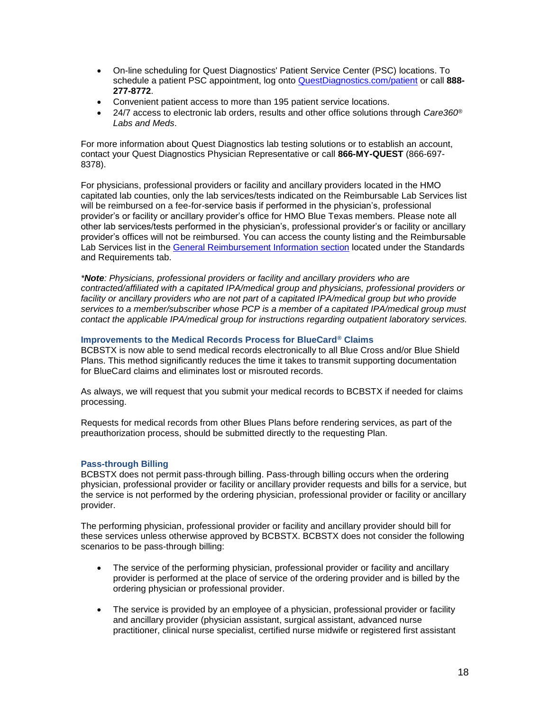- On-line scheduling for Quest Diagnostics' Patient Service Center (PSC) locations. To schedule a patient PSC appointment, log onto [QuestDiagnostics.com/patient](http://www.questdiagnostics.com/home/patients) or call **888- 277-8772**.
- Convenient patient access to more than 195 patient service locations.
- 24/7 access to electronic lab orders, results and other office solutions through *Care360® Labs and Meds*.

For more information about Quest Diagnostics lab testing solutions or to establish an account, contact your Quest Diagnostics Physician Representative or call **866-MY-QUEST** (866-697- 8378).

For physicians, professional providers or facility and ancillary providers located in the HMO capitated lab counties, only the lab services/tests indicated on the Reimbursable Lab Services list will be reimbursed on a fee-for-service basis if performed in the physician's, professional provider's or facility or ancillary provider's office for HMO Blue Texas members. Please note all other lab services/tests performed in the physician's, professional provider's or facility or ancillary provider's offices will not be reimbursed. You can access the county listing and the Reimbursable Lab Services list in the [General Reimbursement Information](http://www.bcbstx.com/provider/gri/index.html) section located under the Standards and Requirements tab.

*\*Note: Physicians, professional providers or facility and ancillary providers who are contracted/affiliated with a capitated IPA/medical group and physicians, professional providers or facility or ancillary providers who are not part of a capitated IPA/medical group but who provide services to a member/subscriber whose PCP is a member of a capitated IPA/medical group must contact the applicable IPA/medical group for instructions regarding outpatient laboratory services.*

## **Improvements to the Medical Records Process for BlueCard® Claims**

BCBSTX is now able to send medical records electronically to all Blue Cross and/or Blue Shield Plans. This method significantly reduces the time it takes to transmit supporting documentation for BlueCard claims and eliminates lost or misrouted records.

As always, we will request that you submit your medical records to BCBSTX if needed for claims processing.

Requests for medical records from other Blues Plans before rendering services, as part of the preauthorization process, should be submitted directly to the requesting Plan.

## **Pass-through Billing**

BCBSTX does not permit pass-through billing. Pass-through billing occurs when the ordering physician, professional provider or facility or ancillary provider requests and bills for a service, but the service is not performed by the ordering physician, professional provider or facility or ancillary provider.

The performing physician, professional provider or facility and ancillary provider should bill for these services unless otherwise approved by BCBSTX. BCBSTX does not consider the following scenarios to be pass-through billing:

- The service of the performing physician, professional provider or facility and ancillary provider is performed at the place of service of the ordering provider and is billed by the ordering physician or professional provider.
- The service is provided by an employee of a physician, professional provider or facility and ancillary provider (physician assistant, surgical assistant, advanced nurse practitioner, clinical nurse specialist, certified nurse midwife or registered first assistant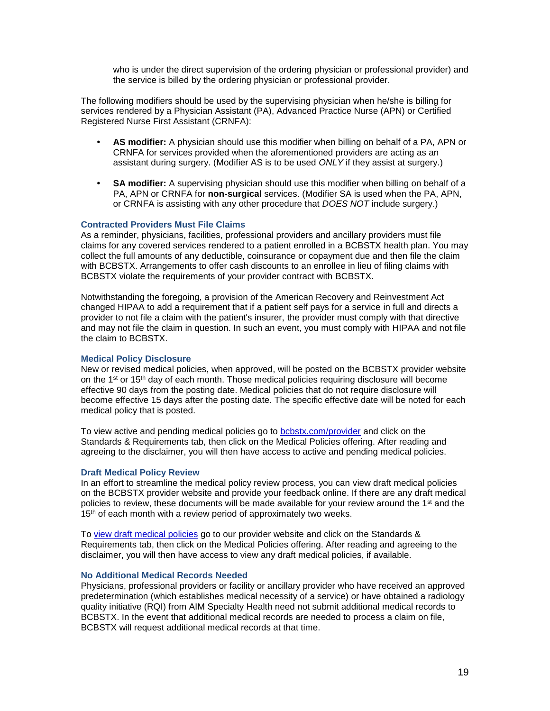who is under the direct supervision of the ordering physician or professional provider) and the service is billed by the ordering physician or professional provider.

The following modifiers should be used by the supervising physician when he/she is billing for services rendered by a Physician Assistant (PA), Advanced Practice Nurse (APN) or Certified Registered Nurse First Assistant (CRNFA):

- **• AS modifier:** A physician should use this modifier when billing on behalf of a PA, APN or CRNFA for services provided when the aforementioned providers are acting as an assistant during surgery. (Modifier AS is to be used *ONLY* if they assist at surgery.)
- **• SA modifier:** A supervising physician should use this modifier when billing on behalf of a PA, APN or CRNFA for **non-surgical** services. (Modifier SA is used when the PA, APN, or CRNFA is assisting with any other procedure that *DOES NOT* include surgery.)

#### **Contracted Providers Must File Claims**

As a reminder, physicians, facilities, professional providers and ancillary providers must file claims for any covered services rendered to a patient enrolled in a BCBSTX health plan. You may collect the full amounts of any deductible, coinsurance or copayment due and then file the claim with BCBSTX. Arrangements to offer cash discounts to an enrollee in lieu of filing claims with BCBSTX violate the requirements of your provider contract with BCBSTX.

Notwithstanding the foregoing, a provision of the American Recovery and Reinvestment Act changed HIPAA to add a requirement that if a patient self pays for a service in full and directs a provider to not file a claim with the patient's insurer, the provider must comply with that directive and may not file the claim in question. In such an event, you must comply with HIPAA and not file the claim to BCBSTX.

#### **Medical Policy Disclosure**

New or revised medical policies, when approved, will be posted on the BCBSTX provider website on the  $1^{st}$  or  $15^{th}$  day of each month. Those medical policies requiring disclosure will become effective 90 days from the posting date. Medical policies that do not require disclosure will become effective 15 days after the posting date. The specific effective date will be noted for each medical policy that is posted.

To view active and pending medical policies go to [bcbstx.com/provider](http://www.bcbstx.com/provider) and click on the Standards & Requirements tab, then click on the Medical Policies offering. After reading and agreeing to the disclaimer, you will then have access to active and pending medical policies.

#### **Draft Medical Policy Review**

In an effort to streamline the medical policy review process, you can view draft medical policies on the BCBSTX provider website and provide your feedback online. If there are any draft medical policies to review, these documents will be made available for your review around the 1<sup>st</sup> and the 15<sup>th</sup> of each month with a review period of approximately two weeks.

To [view draft medical policies](http://www.medicalpolicy.hcsc.net/medicalpolicy/disclaimer?corpEntCd=TX1) go to our provider website and click on the Standards & Requirements tab, then click on the Medical Policies offering. After reading and agreeing to the disclaimer, you will then have access to view any draft medical policies, if available.

#### **No Additional Medical Records Needed**

Physicians, professional providers or facility or ancillary provider who have received an approved predetermination (which establishes medical necessity of a service) or have obtained a radiology quality initiative (RQI) from AIM Specialty Health need not submit additional medical records to BCBSTX. In the event that additional medical records are needed to process a claim on file, BCBSTX will request additional medical records at that time.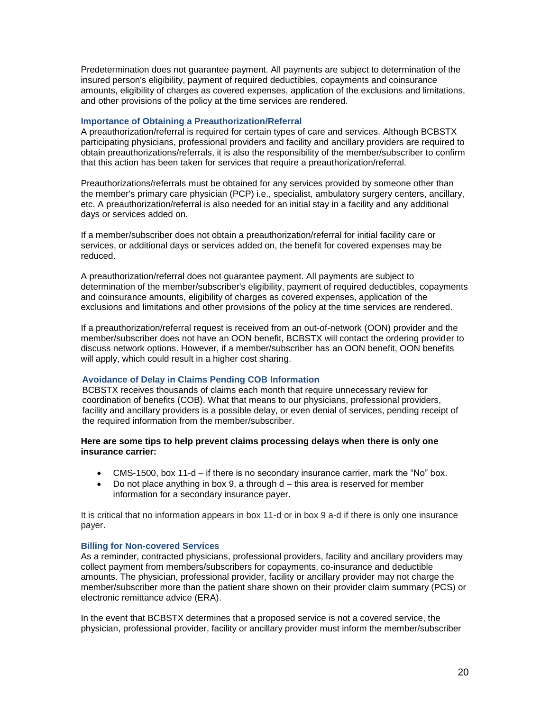Predetermination does not guarantee payment. All payments are subject to determination of the insured person's eligibility, payment of required deductibles, copayments and coinsurance amounts, eligibility of charges as covered expenses, application of the exclusions and limitations, and other provisions of the policy at the time services are rendered.

## **Importance of Obtaining a Preauthorization/Referral**

A preauthorization/referral is required for certain types of care and services. Although BCBSTX participating physicians, professional providers and facility and ancillary providers are required to obtain preauthorizations/referrals, it is also the responsibility of the member/subscriber to confirm that this action has been taken for services that require a preauthorization/referral.

Preauthorizations/referrals must be obtained for any services provided by someone other than the member's primary care physician (PCP) i.e., specialist, ambulatory surgery centers, ancillary, etc. A preauthorization/referral is also needed for an initial stay in a facility and any additional days or services added on.

If a member/subscriber does not obtain a preauthorization/referral for initial facility care or services, or additional days or services added on, the benefit for covered expenses may be reduced.

A preauthorization/referral does not guarantee payment. All payments are subject to determination of the member/subscriber's eligibility, payment of required deductibles, copayments and coinsurance amounts, eligibility of charges as covered expenses, application of the exclusions and limitations and other provisions of the policy at the time services are rendered.

If a preauthorization/referral request is received from an out-of-network (OON) provider and the member/subscriber does not have an OON benefit, BCBSTX will contact the ordering provider to discuss network options. However, if a member/subscriber has an OON benefit, OON benefits will apply, which could result in a higher cost sharing.

## **Avoidance of Delay in Claims Pending COB Information**

BCBSTX receives thousands of claims each month that require unnecessary review for coordination of benefits (COB). What that means to our physicians, professional providers, facility and ancillary providers is a possible delay, or even denial of services, pending receipt of the required information from the member/subscriber.

## **Here are some tips to help prevent claims processing delays when there is only one insurance carrier:**

- CMS-1500, box 11-d if there is no secondary insurance carrier, mark the "No" box.
- $\bullet$  Do not place anything in box 9, a through  $d$  this area is reserved for member information for a secondary insurance payer.

It is critical that no information appears in box 11-d or in box 9 a-d if there is only one insurance payer.

## **Billing for Non-covered Services**

As a reminder, contracted physicians, professional providers, facility and ancillary providers may collect payment from members/subscribers for copayments, co-insurance and deductible amounts. The physician, professional provider, facility or ancillary provider may not charge the member/subscriber more than the patient share shown on their provider claim summary (PCS) or electronic remittance advice (ERA).

In the event that BCBSTX determines that a proposed service is not a covered service, the physician, professional provider, facility or ancillary provider must inform the member/subscriber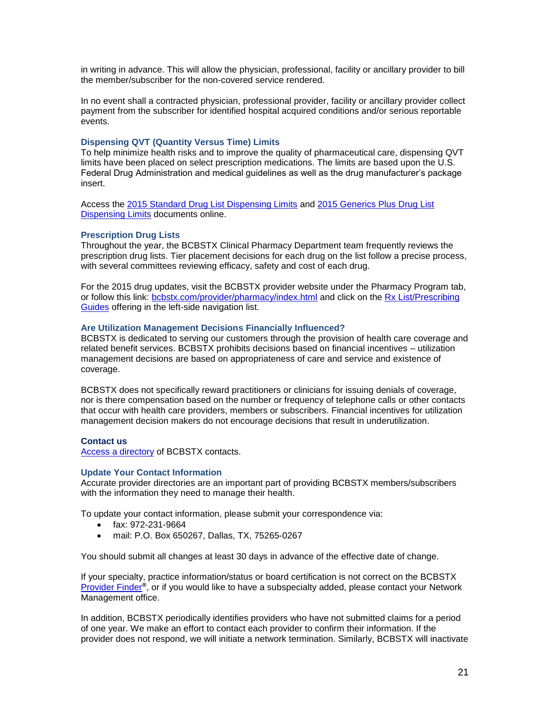in writing in advance. This will allow the physician, professional, facility or ancillary provider to bill the member/subscriber for the non-covered service rendered.

In no event shall a contracted physician, professional provider, facility or ancillary provider collect payment from the subscriber for identified hospital acquired conditions and/or serious reportable events.

#### **Dispensing QVT (Quantity Versus Time) Limits**

To help minimize health risks and to improve the quality of pharmaceutical care, dispensing QVT limits have been placed on select prescription medications. The limits are based upon the U.S. Federal Drug Administration and medical guidelines as well as the drug manufacturer's package insert.

Access the [2015 Standard Drug List Dispensing Limits](http://www.bcbstx.com/pdf/rx/rx_dispensing_limits_std_tx.pdf) and [2015 Generics Plus Drug List](http://www.bcbstx.com/pdf/rx/rx_dispensing_limits_gen_tx.pdf)  [Dispensing Limits](http://www.bcbstx.com/pdf/rx/rx_dispensing_limits_gen_tx.pdf) documents online.

#### **Prescription Drug Lists**

Throughout the year, the BCBSTX Clinical Pharmacy Department team frequently reviews the prescription drug lists. Tier placement decisions for each drug on the list follow a precise process, with several committees reviewing efficacy, safety and cost of each drug.

For the 2015 drug updates, visit the BCBSTX provider website under the Pharmacy Program tab, or follow this link: [bcbstx.com/provider/pharmacy/index.html](http://www.bcbstx.com/provider/pharmacy/index.html) and click on the [Rx List/Prescribing](http://www.bcbstx.com/provider/pharmacy/rx_list.html)  [Guides](http://www.bcbstx.com/provider/pharmacy/rx_list.html) offering in the left-side navigation list.

#### **Are Utilization Management Decisions Financially Influenced?**

BCBSTX is dedicated to serving our customers through the provision of health care coverage and related benefit services. BCBSTX prohibits decisions based on financial incentives – utilization management decisions are based on appropriateness of care and service and existence of coverage.

BCBSTX does not specifically reward practitioners or clinicians for issuing denials of coverage, nor is there compensation based on the number or frequency of telephone calls or other contacts that occur with health care providers, members or subscribers. Financial incentives for utilization management decision makers do not encourage decisions that result in underutilization.

#### **Contact us**

[Access a directory](http://www.bcbstx.com/provider/contact_us.html) of BCBSTX contacts.

#### **Update Your Contact Information**

Accurate provider directories are an important part of providing BCBSTX members/subscribers with the information they need to manage their health.

To update your contact information, please submit your correspondence via:

- fax: 972-231-9664
- mail: P.O. Box 650267, Dallas, TX, 75265-0267

You should submit all changes at least 30 days in advance of the effective date of change.

If your specialty, practice information/status or board certification is not correct on the BCBSTX [Provider Finder](http://www.bcbstx.com/find-a-doctor-or-hospital)**®**, or if you would like to have a subspecialty added, please contact your Network Management office.

In addition, BCBSTX periodically identifies providers who have not submitted claims for a period of one year. We make an effort to contact each provider to confirm their information. If the provider does not respond, we will initiate a network termination. Similarly, BCBSTX will inactivate